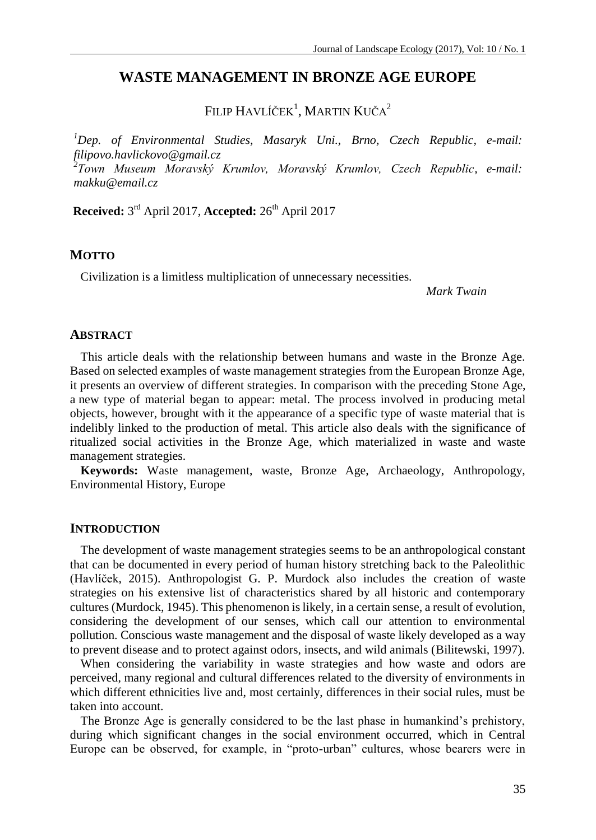# **WASTE MANAGEMENT IN BRONZE AGE EUROPE**

FILIP HAVLÍČEK<sup>1</sup>, MARTIN KUČA<sup>2</sup>

*<sup>1</sup>Dep. of Environmental Studies, Masaryk Uni., Brno, Czech Republic, e-mail: filipovo.havlickovo@gmail.cz*

*2 Town Museum Moravský Krumlov, Moravský Krumlov, Czech Republic, e-mail: makku@email.cz*

**Received:** 3 rd April 2017, **Accepted:** 26th April 2017

# **MOTTO**

Civilization is a limitless multiplication of unnecessary necessities.

*Mark Twain*

# **ABSTRACT**

This article deals with the relationship between humans and waste in the Bronze Age. Based on selected examples of waste management strategies from the European Bronze Age, it presents an overview of different strategies. In comparison with the preceding Stone Age, a new type of material began to appear: metal. The process involved in producing metal objects, however, brought with it the appearance of a specific type of waste material that is indelibly linked to the production of metal. This article also deals with the significance of ritualized social activities in the Bronze Age, which materialized in waste and waste management strategies.

**Keywords:** Waste management, waste, Bronze Age, Archaeology, Anthropology, Environmental History, Europe

### **INTRODUCTION**

The development of waste management strategies seems to be an anthropological constant that can be documented in every period of human history stretching back to the Paleolithic (Havlíček, 2015). Anthropologist G. P. Murdock also includes the creation of waste strategies on his extensive list of characteristics shared by all historic and contemporary cultures (Murdock, 1945). This phenomenon is likely, in a certain sense, a result of evolution, considering the development of our senses, which call our attention to environmental pollution. Conscious waste management and the disposal of waste likely developed as a way to prevent disease and to protect against odors, insects, and wild animals (Bilitewski*,* 1997).

When considering the variability in waste strategies and how waste and odors are perceived, many regional and cultural differences related to the diversity of environments in which different ethnicities live and, most certainly, differences in their social rules, must be taken into account.

The Bronze Age is generally considered to be the last phase in humankind's prehistory, during which significant changes in the social environment occurred, which in Central Europe can be observed, for example, in "proto-urban" cultures, whose bearers were in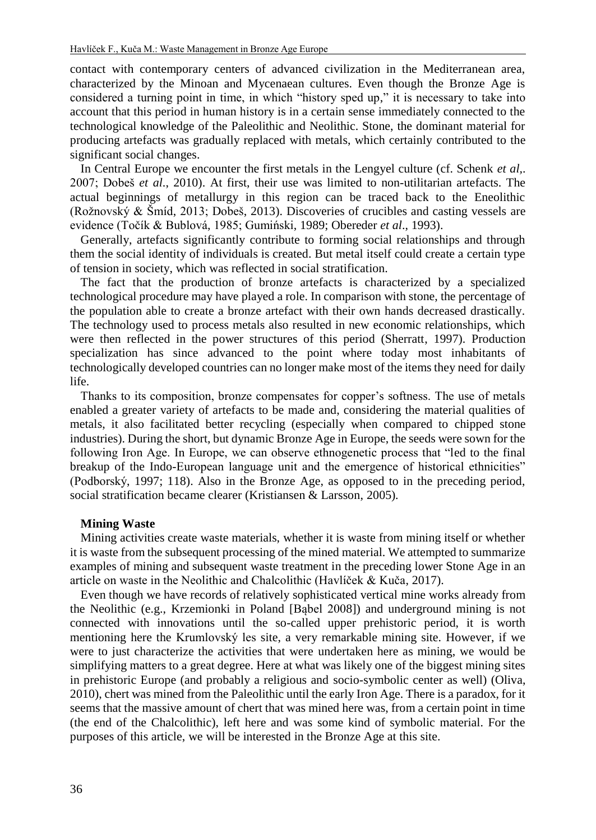contact with contemporary centers of advanced civilization in the Mediterranean area, characterized by the Minoan and Mycenaean cultures. Even though the Bronze Age is considered a turning point in time, in which "history sped up," it is necessary to take into account that this period in human history is in a certain sense immediately connected to the technological knowledge of the Paleolithic and Neolithic. Stone, the dominant material for producing artefacts was gradually replaced with metals, which certainly contributed to the significant social changes.

In Central Europe we encounter the first metals in the Lengyel culture (cf. Schenk *et al,*. 2007; Dobeš *et al*., 2010). At first, their use was limited to non-utilitarian artefacts. The actual beginnings of metallurgy in this region can be traced back to the Eneolithic (Rožnovský & Šmíd, 2013; Dobeš, 2013). Discoveries of crucibles and casting vessels are evidence (Točík & Bublová, 1985; Gumiński, 1989; Obereder *et al*., 1993).

Generally, artefacts significantly contribute to forming social relationships and through them the social identity of individuals is created. But metal itself could create a certain type of tension in society, which was reflected in social stratification.

The fact that the production of bronze artefacts is characterized by a specialized technological procedure may have played a role. In comparison with stone, the percentage of the population able to create a bronze artefact with their own hands decreased drastically. The technology used to process metals also resulted in new economic relationships, which were then reflected in the power structures of this period (Sherratt, 1997). Production specialization has since advanced to the point where today most inhabitants of technologically developed countries can no longer make most of the items they need for daily life.

Thanks to its composition, bronze compensates for copper's softness. The use of metals enabled a greater variety of artefacts to be made and, considering the material qualities of metals, it also facilitated better recycling (especially when compared to chipped stone industries). During the short, but dynamic Bronze Age in Europe, the seeds were sown for the following Iron Age. In Europe, we can observe ethnogenetic process that "led to the final breakup of the Indo-European language unit and the emergence of historical ethnicities" (Podborský, 1997; 118). Also in the Bronze Age, as opposed to in the preceding period, social stratification became clearer (Kristiansen & Larsson, 2005)*.*

### **Mining Waste**

Mining activities create waste materials, whether it is waste from mining itself or whether it is waste from the subsequent processing of the mined material. We attempted to summarize examples of mining and subsequent waste treatment in the preceding lower Stone Age in an article on waste in the Neolithic and Chalcolithic (Havlíček & Kuča, 2017).

Even though we have records of relatively sophisticated vertical mine works already from the Neolithic (e.g., Krzemionki in Poland [Bąbel 2008]) and underground mining is not connected with innovations until the so-called upper prehistoric period, it is worth mentioning here the Krumlovský les site, a very remarkable mining site. However, if we were to just characterize the activities that were undertaken here as mining, we would be simplifying matters to a great degree. Here at what was likely one of the biggest mining sites in prehistoric Europe (and probably a religious and socio-symbolic center as well) (Oliva, 2010), chert was mined from the Paleolithic until the early Iron Age. There is a paradox, for it seems that the massive amount of chert that was mined here was, from a certain point in time (the end of the Chalcolithic), left here and was some kind of symbolic material. For the purposes of this article, we will be interested in the Bronze Age at this site.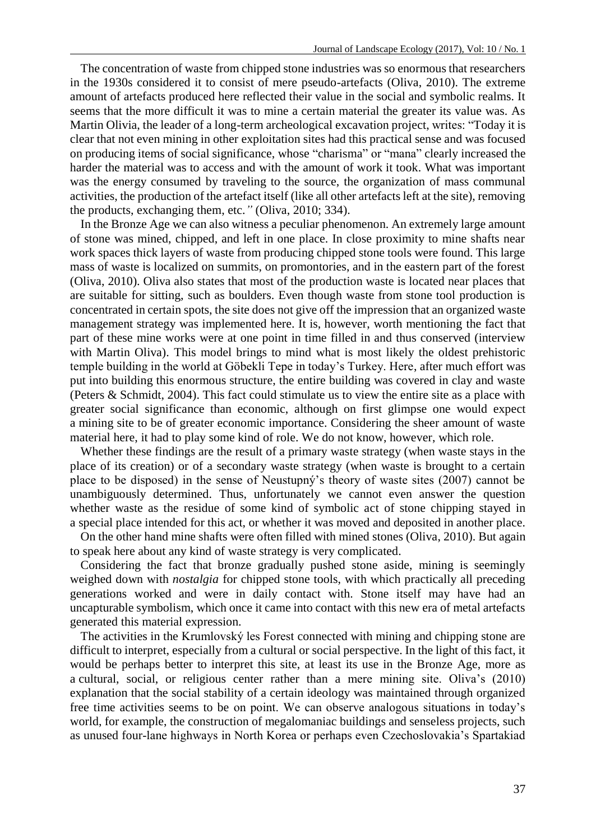The concentration of waste from chipped stone industries was so enormous that researchers in the 1930s considered it to consist of mere pseudo-artefacts (Oliva, 2010). The extreme amount of artefacts produced here reflected their value in the social and symbolic realms. It seems that the more difficult it was to mine a certain material the greater its value was. As Martin Olivia, the leader of a long-term archeological excavation project, writes: "Today it is clear that not even mining in other exploitation sites had this practical sense and was focused on producing items of social significance, whose "charisma" or "mana" clearly increased the harder the material was to access and with the amount of work it took. What was important was the energy consumed by traveling to the source, the organization of mass communal activities, the production of the artefact itself (like all other artefacts left at the site), removing the products, exchanging them, etc.*"* (Oliva, 2010; 334).

In the Bronze Age we can also witness a peculiar phenomenon. An extremely large amount of stone was mined, chipped, and left in one place. In close proximity to mine shafts near work spaces thick layers of waste from producing chipped stone tools were found. This large mass of waste is localized on summits, on promontories, and in the eastern part of the forest (Oliva, 2010). Oliva also states that most of the production waste is located near places that are suitable for sitting, such as boulders. Even though waste from stone tool production is concentrated in certain spots, the site does not give off the impression that an organized waste management strategy was implemented here. It is, however, worth mentioning the fact that part of these mine works were at one point in time filled in and thus conserved (interview with Martin Oliva). This model brings to mind what is most likely the oldest prehistoric temple building in the world at Göbekli Tepe in today's Turkey. Here, after much effort was put into building this enormous structure, the entire building was covered in clay and waste (Peters & Schmidt, 2004). This fact could stimulate us to view the entire site as a place with greater social significance than economic, although on first glimpse one would expect a mining site to be of greater economic importance. Considering the sheer amount of waste material here, it had to play some kind of role. We do not know, however, which role.

Whether these findings are the result of a primary waste strategy (when waste stays in the place of its creation) or of a secondary waste strategy (when waste is brought to a certain place to be disposed) in the sense of Neustupný's theory of waste sites (2007) cannot be unambiguously determined. Thus, unfortunately we cannot even answer the question whether waste as the residue of some kind of symbolic act of stone chipping stayed in a special place intended for this act, or whether it was moved and deposited in another place.

On the other hand mine shafts were often filled with mined stones (Oliva, 2010). But again to speak here about any kind of waste strategy is very complicated.

Considering the fact that bronze gradually pushed stone aside, mining is seemingly weighed down with *nostalgia* for chipped stone tools, with which practically all preceding generations worked and were in daily contact with. Stone itself may have had an uncapturable symbolism, which once it came into contact with this new era of metal artefacts generated this material expression.

The activities in the Krumlovský les Forest connected with mining and chipping stone are difficult to interpret, especially from a cultural or social perspective. In the light of this fact, it would be perhaps better to interpret this site, at least its use in the Bronze Age, more as a cultural, social, or religious center rather than a mere mining site. Oliva's (2010) explanation that the social stability of a certain ideology was maintained through organized free time activities seems to be on point. We can observe analogous situations in today's world, for example, the construction of megalomaniac buildings and senseless projects, such as unused four-lane highways in North Korea or perhaps even Czechoslovakia's Spartakiad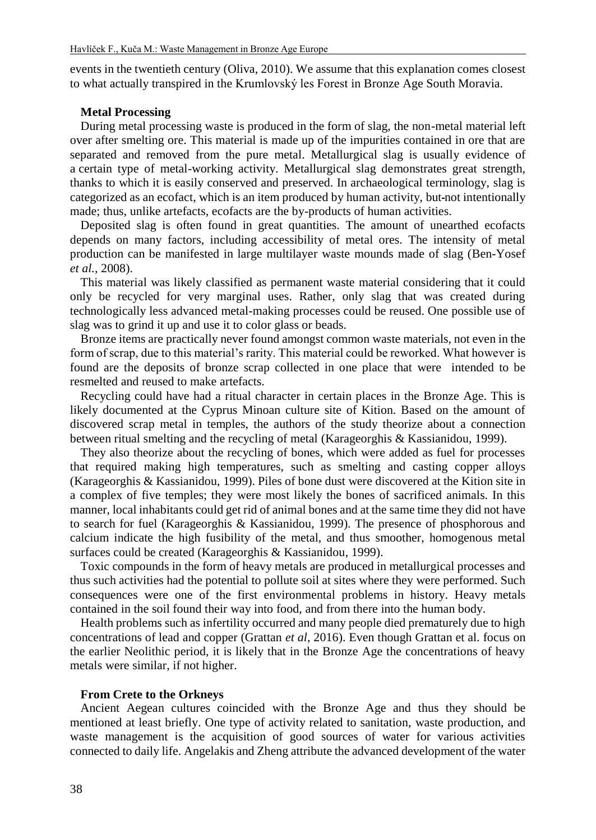events in the twentieth century (Oliva, 2010). We assume that this explanation comes closest to what actually transpired in the Krumlovský les Forest in Bronze Age South Moravia.

# **Metal Processing**

During metal processing waste is produced in the form of slag, the non-metal material left over after smelting ore. This material is made up of the impurities contained in ore that are separated and removed from the pure metal. Metallurgical slag is usually evidence of a certain type of metal-working activity. Metallurgical slag demonstrates great strength, thanks to which it is easily conserved and preserved. In archaeological terminology, slag is categorized as an ecofact, which is an item produced by human activity, but not intentionally made; thus, unlike artefacts, ecofacts are the by-products of human activities.

Deposited slag is often found in great quantities. The amount of unearthed ecofacts depends on many factors, including accessibility of metal ores. The intensity of metal production can be manifested in large multilayer waste mounds made of slag (Ben-Yosef *et al.,* 2008).

This material was likely classified as permanent waste material considering that it could only be recycled for very marginal uses. Rather, only slag that was created during technologically less advanced metal-making processes could be reused. One possible use of slag was to grind it up and use it to color glass or beads.

Bronze items are practically never found amongst common waste materials, not even in the form of scrap, due to this material's rarity. This material could be reworked. What however is found are the deposits of bronze scrap collected in one place that were intended to be resmelted and reused to make artefacts.

Recycling could have had a ritual character in certain places in the Bronze Age. This is likely documented at the Cyprus Minoan culture site of Kition. Based on the amount of discovered scrap metal in temples, the authors of the study theorize about a connection between ritual smelting and the recycling of metal (Karageorghis & Kassianidou, 1999).

They also theorize about the recycling of bones, which were added as fuel for processes that required making high temperatures, such as smelting and casting copper alloys (Karageorghis & Kassianidou, 1999). Piles of bone dust were discovered at the Kition site in a complex of five temples; they were most likely the bones of sacrificed animals. In this manner, local inhabitants could get rid of animal bones and at the same time they did not have to search for fuel (Karageorghis & Kassianidou, 1999). The presence of phosphorous and calcium indicate the high fusibility of the metal, and thus smoother, homogenous metal surfaces could be created (Karageorghis & Kassianidou, 1999).

Toxic compounds in the form of heavy metals are produced in metallurgical processes and thus such activities had the potential to pollute soil at sites where they were performed. Such consequences were one of the first environmental problems in history. Heavy metals contained in the soil found their way into food, and from there into the human body.

Health problems such as infertility occurred and many people died prematurely due to high concentrations of lead and copper (Grattan *et al,* 2016). Even though Grattan et al. focus on the earlier Neolithic period, it is likely that in the Bronze Age the concentrations of heavy metals were similar, if not higher.

#### **From Crete to the Orkneys**

Ancient Aegean cultures coincided with the Bronze Age and thus they should be mentioned at least briefly. One type of activity related to sanitation, waste production, and waste management is the acquisition of good sources of water for various activities connected to daily life. Angelakis and Zheng attribute the advanced development of the water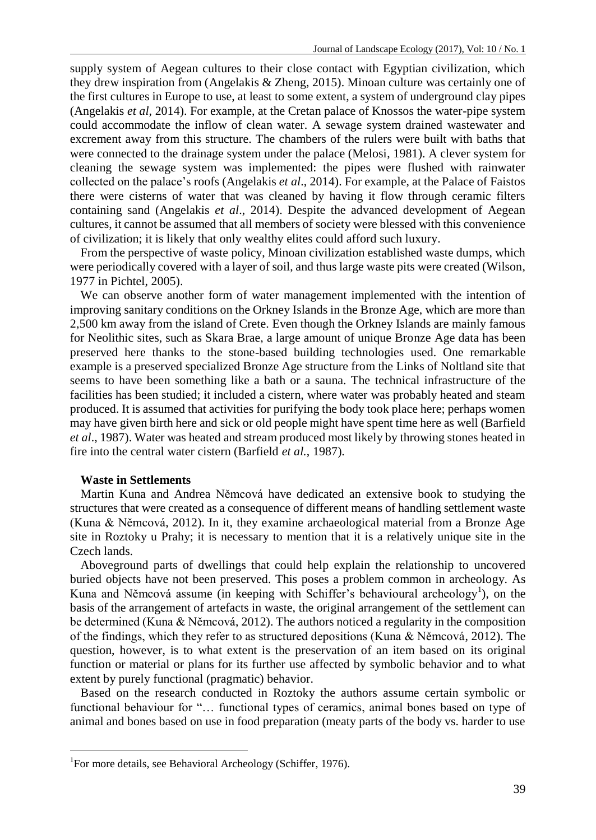supply system of Aegean cultures to their close contact with Egyptian civilization, which they drew inspiration from (Angelakis & Zheng, 2015). Minoan culture was certainly one of the first cultures in Europe to use, at least to some extent, a system of underground clay pipes (Angelakis *et al,* 2014). For example, at the Cretan palace of Knossos the water-pipe system could accommodate the inflow of clean water. A sewage system drained wastewater and excrement away from this structure. The chambers of the rulers were built with baths that were connected to the drainage system under the palace (Melosi, 1981). A clever system for cleaning the sewage system was implemented: the pipes were flushed with rainwater collected on the palace's roofs (Angelakis *et al*., 2014). For example, at the Palace of Faistos there were cisterns of water that was cleaned by having it flow through ceramic filters containing sand (Angelakis *et al*., 2014). Despite the advanced development of Aegean cultures, it cannot be assumed that all members of society were blessed with this convenience of civilization; it is likely that only wealthy elites could afford such luxury.

From the perspective of waste policy, Minoan civilization established waste dumps, which were periodically covered with a layer of soil, and thus large waste pits were created (Wilson, 1977 in Pichtel, 2005).

We can observe another form of water management implemented with the intention of improving sanitary conditions on the Orkney Islands in the Bronze Age, which are more than 2,500 km away from the island of Crete. Even though the Orkney Islands are mainly famous for Neolithic sites, such as Skara Brae, a large amount of unique Bronze Age data has been preserved here thanks to the stone-based building technologies used. One remarkable example is a preserved specialized Bronze Age structure from the Links of Noltland site that seems to have been something like a bath or a sauna. The technical infrastructure of the facilities has been studied; it included a cistern, where water was probably heated and steam produced. It is assumed that activities for purifying the body took place here; perhaps women may have given birth here and sick or old people might have spent time here as well (Barfield *et al*., 1987). Water was heated and stream produced most likely by throwing stones heated in fire into the central water cistern (Barfield *et al.*, 1987).

## **Waste in Settlements**

 $\overline{a}$ 

Martin Kuna and Andrea Němcová have dedicated an extensive book to studying the structures that were created as a consequence of different means of handling settlement waste (Kuna & Němcová, 2012). In it, they examine archaeological material from a Bronze Age site in Roztoky u Prahy; it is necessary to mention that it is a relatively unique site in the Czech lands.

Aboveground parts of dwellings that could help explain the relationship to uncovered buried objects have not been preserved. This poses a problem common in archeology. As Kuna and Němcová assume (in keeping with Schiffer's behavioural archeology<sup>1</sup>), on the basis of the arrangement of artefacts in waste, the original arrangement of the settlement can be determined (Kuna & Němcová, 2012). The authors noticed a regularity in the composition of the findings, which they refer to as structured depositions (Kuna & Němcová, 2012). The question, however, is to what extent is the preservation of an item based on its original function or material or plans for its further use affected by symbolic behavior and to what extent by purely functional (pragmatic) behavior.

Based on the research conducted in Roztoky the authors assume certain symbolic or functional behaviour for "… functional types of ceramics, animal bones based on type of animal and bones based on use in food preparation (meaty parts of the body vs. harder to use

<sup>&</sup>lt;sup>1</sup>For more details, see Behavioral Archeology (Schiffer, 1976).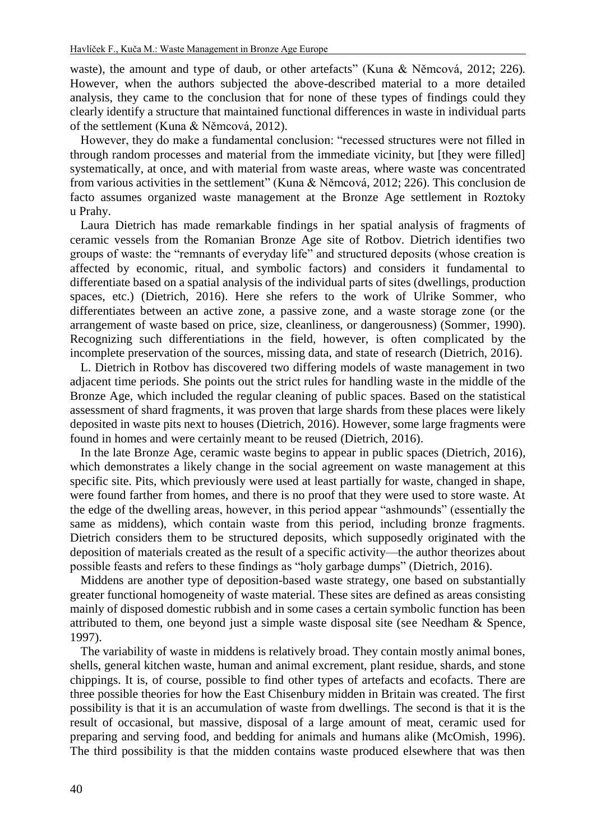waste), the amount and type of daub, or other artefacts" (Kuna & Němcová, 2012; 226)*.*  However, when the authors subjected the above-described material to a more detailed analysis, they came to the conclusion that for none of these types of findings could they clearly identify a structure that maintained functional differences in waste in individual parts of the settlement (Kuna & Němcová, 2012).

However, they do make a fundamental conclusion: "recessed structures were not filled in through random processes and material from the immediate vicinity, but [they were filled] systematically, at once, and with material from waste areas, where waste was concentrated from various activities in the settlement" (Kuna & Němcová, 2012; 226). This conclusion de facto assumes organized waste management at the Bronze Age settlement in Roztoky u Prahy.

Laura Dietrich has made remarkable findings in her spatial analysis of fragments of ceramic vessels from the Romanian Bronze Age site of Rotbov. Dietrich identifies two groups of waste: the "remnants of everyday life" and structured deposits (whose creation is affected by economic, ritual, and symbolic factors) and considers it fundamental to differentiate based on a spatial analysis of the individual parts of sites (dwellings, production spaces, etc.) (Dietrich, 2016). Here she refers to the work of Ulrike Sommer, who differentiates between an active zone, a passive zone, and a waste storage zone (or the arrangement of waste based on price, size, cleanliness, or dangerousness) (Sommer, 1990). Recognizing such differentiations in the field, however, is often complicated by the incomplete preservation of the sources, missing data, and state of research (Dietrich, 2016).

L. Dietrich in Rotbov has discovered two differing models of waste management in two adjacent time periods. She points out the strict rules for handling waste in the middle of the Bronze Age, which included the regular cleaning of public spaces. Based on the statistical assessment of shard fragments, it was proven that large shards from these places were likely deposited in waste pits next to houses (Dietrich, 2016). However, some large fragments were found in homes and were certainly meant to be reused (Dietrich, 2016).

In the late Bronze Age, ceramic waste begins to appear in public spaces (Dietrich, 2016), which demonstrates a likely change in the social agreement on waste management at this specific site. Pits, which previously were used at least partially for waste, changed in shape, were found farther from homes, and there is no proof that they were used to store waste. At the edge of the dwelling areas, however, in this period appear "ashmounds" (essentially the same as middens), which contain waste from this period, including bronze fragments. Dietrich considers them to be structured deposits, which supposedly originated with the deposition of materials created as the result of a specific activity—the author theorizes about possible feasts and refers to these findings as "holy garbage dumps" (Dietrich, 2016).

Middens are another type of deposition-based waste strategy, one based on substantially greater functional homogeneity of waste material. These sites are defined as areas consisting mainly of disposed domestic rubbish and in some cases a certain symbolic function has been attributed to them, one beyond just a simple waste disposal site (see Needham & Spence, 1997).

The variability of waste in middens is relatively broad. They contain mostly animal bones, shells, general kitchen waste, human and animal excrement, plant residue, shards, and stone chippings. It is, of course, possible to find other types of artefacts and ecofacts. There are three possible theories for how the East Chisenbury midden in Britain was created. The first possibility is that it is an accumulation of waste from dwellings. The second is that it is the result of occasional, but massive, disposal of a large amount of meat, ceramic used for preparing and serving food, and bedding for animals and humans alike (McOmish, 1996). The third possibility is that the midden contains waste produced elsewhere that was then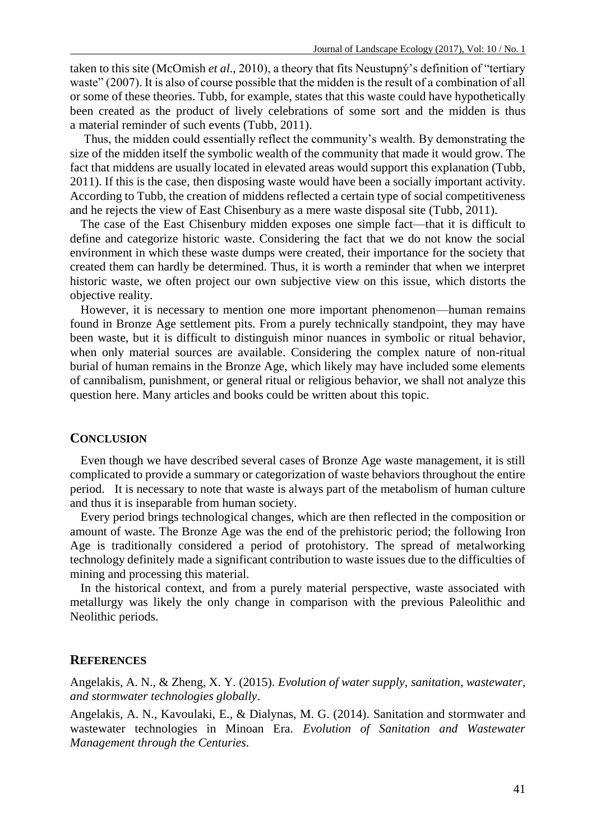taken to this site (McOmish *et al*., 2010), a theory that fits Neustupný's definition of "tertiary waste" (2007). It is also of course possible that the midden is the result of a combination of all or some of these theories. Tubb, for example, states that this waste could have hypothetically been created as the product of lively celebrations of some sort and the midden is thus a material reminder of such events (Tubb, 2011).

Thus, the midden could essentially reflect the community's wealth. By demonstrating the size of the midden itself the symbolic wealth of the community that made it would grow. The fact that middens are usually located in elevated areas would support this explanation (Tubb, 2011). If this is the case, then disposing waste would have been a socially important activity. According to Tubb, the creation of middens reflected a certain type of social competitiveness and he rejects the view of East Chisenbury as a mere waste disposal site (Tubb, 2011).

The case of the East Chisenbury midden exposes one simple fact—that it is difficult to define and categorize historic waste. Considering the fact that we do not know the social environment in which these waste dumps were created, their importance for the society that created them can hardly be determined. Thus, it is worth a reminder that when we interpret historic waste, we often project our own subjective view on this issue, which distorts the objective reality.

However, it is necessary to mention one more important phenomenon—human remains found in Bronze Age settlement pits. From a purely technically standpoint, they may have been waste, but it is difficult to distinguish minor nuances in symbolic or ritual behavior, when only material sources are available. Considering the complex nature of non-ritual burial of human remains in the Bronze Age, which likely may have included some elements of cannibalism, punishment, or general ritual or religious behavior, we shall not analyze this question here. Many articles and books could be written about this topic.

#### **CONCLUSION**

Even though we have described several cases of Bronze Age waste management, it is still complicated to provide a summary or categorization of waste behaviors throughout the entire period. It is necessary to note that waste is always part of the metabolism of human culture and thus it is inseparable from human society.

Every period brings technological changes, which are then reflected in the composition or amount of waste. The Bronze Age was the end of the prehistoric period; the following Iron Age is traditionally considered a period of protohistory. The spread of metalworking technology definitely made a significant contribution to waste issues due to the difficulties of mining and processing this material.

In the historical context, and from a purely material perspective, waste associated with metallurgy was likely the only change in comparison with the previous Paleolithic and Neolithic periods.

# **REFERENCES**

Angelakis, A. N., & Zheng, X. Y. (2015). *Evolution of water supply, sanitation, wastewater, and stormwater technologies globally*.

Angelakis, A. N., Kavoulaki, E., & Dialynas, M. G. (2014). Sanitation and stormwater and wastewater technologies in Minoan Era. *Evolution of Sanitation and Wastewater Management through the Centuries*.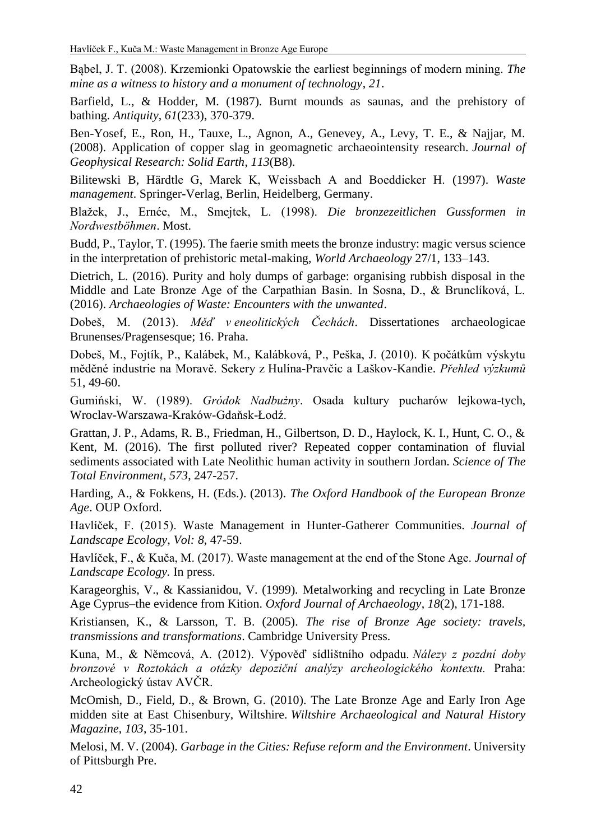Bąbel, J. T. (2008). Krzemionki Opatowskie the earliest beginnings of modern mining. *The mine as a witness to history and a monument of technology*, *21*.

Barfield, L., & Hodder, M. (1987). Burnt mounds as saunas, and the prehistory of bathing. *Antiquity*, *61*(233), 370-379.

Ben-Yosef, E., Ron, H., Tauxe, L., Agnon, A., Genevey, A., Levy, T. E., & Najjar, M. (2008). Application of copper slag in geomagnetic archaeointensity research. *Journal of Geophysical Research: Solid Earth*, *113*(B8).

Bilitewski B, Härdtle G, Marek K, Weissbach A and Boeddicker H. (1997). *Waste management*. Springer-Verlag, Berlin, Heidelberg, Germany.

Blažek, J., Ernée, M., Smejtek, L. (1998). *Die bronzezeitlichen Gussformen in Nordwestböhmen*. Most.

Budd, P., Taylor, T. (1995). The faerie smith meets the bronze industry: magic versus science in the interpretation of prehistoric metal-making, *World Archaeology* 27/1, 133–143.

Dietrich, L. (2016). Purity and holy dumps of garbage: organising rubbish disposal in the Middle and Late Bronze Age of the Carpathian Basin. In Sosna, D., & Brunclíková, L. (2016). *Archaeologies of Waste: Encounters with the unwanted*.

Dobeš, M. (2013). *Měď v eneolitických Čechách*. Dissertationes archaeologicae Brunenses/Pragensesque; 16. Praha.

Dobeš, M., Fojtík, P., Kalábek, M., Kalábková, P., Peška, J. (2010). K počátkům výskytu měděné industrie na Moravě. Sekery z Hulína-Pravčic a Laškov-Kandie. *Přehled výzkumů* 51, 49-60.

Gumiński, W. (1989). *Gródok Nadbużny*. Osada kultury pucharów lejkowa-tych, Wroclav-Warszawa-Kraków-Gdaňsk-Łodź.

Grattan, J. P., Adams, R. B., Friedman, H., Gilbertson, D. D., Haylock, K. I., Hunt, C. O., & Kent, M. (2016). The first polluted river? Repeated copper contamination of fluvial sediments associated with Late Neolithic human activity in southern Jordan. *Science of The Total Environment*, *573*, 247-257.

Harding, A., & Fokkens, H. (Eds.). (2013). *The Oxford Handbook of the European Bronze Age*. OUP Oxford.

Havlíček, F. (2015). Waste Management in Hunter-Gatherer Communities. *Journal of Landscape Ecology*, *Vol: 8*, 47-59.

Havlíček, F., & Kuča, M. (2017). Waste management at the end of the Stone Age. *Journal of Landscape Ecology.* In press.

Karageorghis, V., & Kassianidou, V. (1999). Metalworking and recycling in Late Bronze Age Cyprus–the evidence from Kition. *Oxford Journal of Archaeology*, *18*(2), 171-188.

Kristiansen, K., & Larsson, T. B. (2005). *The rise of Bronze Age society: travels, transmissions and transformations*. Cambridge University Press.

Kuna, M., & Němcová, A. (2012). Výpověď sídlištního odpadu. *Nálezy z pozdní doby bronzové v Roztokách a otázky depoziční analýzy archeologického kontextu.* Praha: Archeologický ústav AVČR.

McOmish, D., Field, D., & Brown, G. (2010). The Late Bronze Age and Early Iron Age midden site at East Chisenbury, Wiltshire. *Wiltshire Archaeological and Natural History Magazine*, *103*, 35-101.

Melosi, M. V. (2004). *Garbage in the Cities: Refuse reform and the Environment*. University of Pittsburgh Pre.